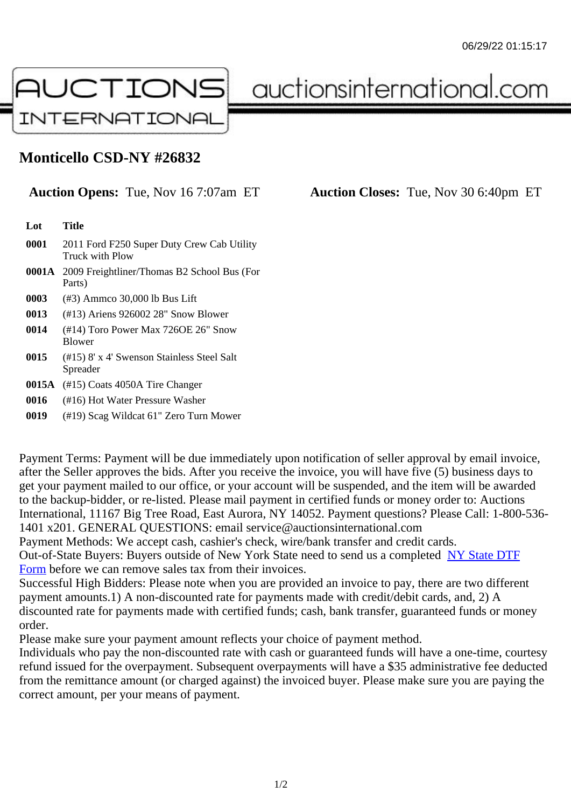## Monticello CSD-NY #26832

## Auction Opens: Tue, Nov 16 7:07am ET Auction Closes: Tue, Nov 30 6:40pm ET

| Lot | Title |
|-----|-------|
|     |       |

- 0001 2011 Ford F250 Super Duty Crew Cab Utility Truck with Plow
- 0001A 2009 Freightliner/Thomas B2 School Bus (For Parts)
- 0003 (#3) Ammco 30,000 lb Bus Lift
- 0013 (#13) Ariens 926002 28" Snow Blower
- 0014 (#14) Toro Power Max 726OE 26" Snow Blower
- 0015 (#15) 8' x 4' Swenson Stainless Steel Salt Spreader
- 0015A (#15) Coats 4050A Tire Changer
- 0016 (#16) Hot Water Pressure Washer
- 0019 (#19) Scag Wildcat 61" Zero Turn Mower

Payment Terms: Payment will be due immediately upon notification of seller approval by email invoice, after the Seller approves the bids. After you receive the invoice, you will have five (5) business days to get your payment mailed to our office, or your account will be suspended, and the item will be awarded to the backup-bidder, or re-listed. Please mail payment in certified funds or money order to: Auctions International, 11167 Big Tree Road, East Aurora, NY 14052. Payment questions? Please Call: 1-800-53 1401 x201. GENERAL QUESTIONS: email service@auctionsinternational.com

Payment Methods: We accept cash, cashier's check, wire/bank transfer and credit cards.

Out-of-State Buyers: Buyers outside of New York State need to send us a com blestate DTF Form before we can remove sales tax from their invoices.

Successful High Bidders: Please note when you are provided an invoice to pay, there are two different payment amounts.1) A non-discounted rate for payments made with credit/de[bit cards, and](https://www.auctionsinternational.com/auxiliary/downloads/DTF_Form/dtf_fill_in.pdf), 2) A [disco](https://www.auctionsinternational.com/auxiliary/downloads/DTF_Form/dtf_fill_in.pdf)unted rate for payments made with certified funds; cash, bank transfer, guaranteed funds or mone order.

Please make sure your payment amount reflects your choice of payment method.

Individuals who pay the non-discounted rate with cash or guaranteed funds will have a one-time, courte refund issued for the overpayment. Subsequent overpayments will have a \$35 administrative fee deduc from the remittance amount (or charged against) the invoiced buyer. Please make sure you are paying correct amount, per your means of payment.